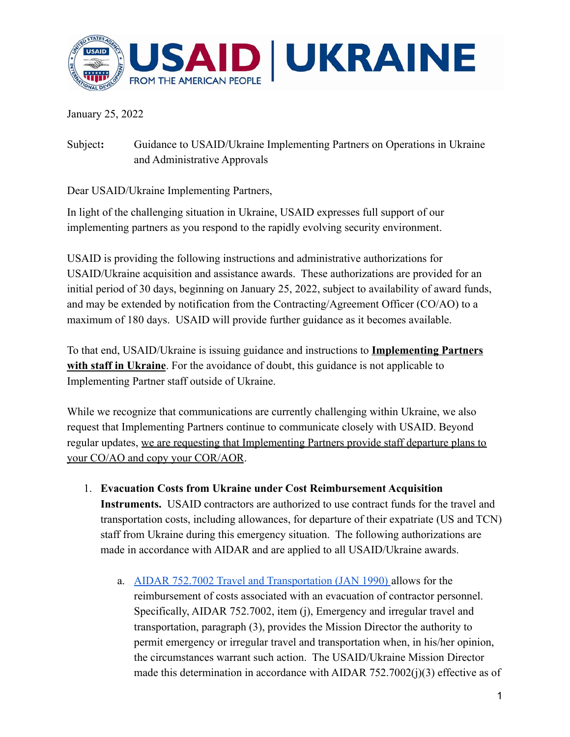

January 25, 2022

Subject**:** Guidance to USAID/Ukraine Implementing Partners on Operations in Ukraine and Administrative Approvals

Dear USAID/Ukraine Implementing Partners,

In light of the challenging situation in Ukraine, USAID expresses full support of our implementing partners as you respond to the rapidly evolving security environment.

USAID is providing the following instructions and administrative authorizations for USAID/Ukraine acquisition and assistance awards. These authorizations are provided for an initial period of 30 days, beginning on January 25, 2022, subject to availability of award funds, and may be extended by notification from the Contracting/Agreement Officer (CO/AO) to a maximum of 180 days. USAID will provide further guidance as it becomes available.

To that end, USAID/Ukraine is issuing guidance and instructions to **Implementing Partners with staff in Ukraine**. For the avoidance of doubt, this guidance is not applicable to Implementing Partner staff outside of Ukraine.

While we recognize that communications are currently challenging within Ukraine, we also request that Implementing Partners continue to communicate closely with USAID. Beyond regular updates, we are requesting that Implementing Partners provide staff departure plans to your CO/AO and copy your COR/AOR.

- 1. **Evacuation Costs from Ukraine under Cost Reimbursement Acquisition Instruments.** USAID contractors are authorized to use contract funds for the travel and transportation costs, including allowances, for departure of their expatriate (US and TCN) staff from Ukraine during this emergency situation. The following authorizations are made in accordance with AIDAR and are applied to all USAID/Ukraine awards.
	- a. [AIDAR 752.7002 Travel and Transportation \(JAN 1990\)](https://www.usaid.gov/sites/default/files/documents/aidar.pdf) allows for the reimbursement of costs associated with an evacuation of contractor personnel. Specifically, AIDAR 752.7002, item (j), Emergency and irregular travel and transportation, paragraph (3), provides the Mission Director the authority to permit emergency or irregular travel and transportation when, in his/her opinion, the circumstances warrant such action. The USAID/Ukraine Mission Director made this determination in accordance with AIDAR 752.7002(j)(3) effective as of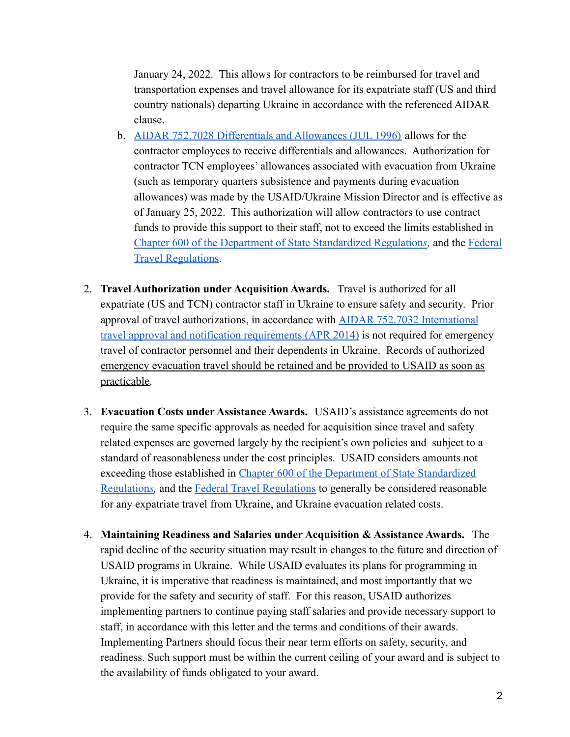January 24, 2022. This allows for contractors to be reimbursed for travel and transportation expenses and travel allowance for its expatriate staff (US and third country nationals) departing Ukraine in accordance with the referenced AIDAR clause.

- b. AIDAR [752.7028 Differentials and Allowances \(JUL 1996\)](https://www.usaid.gov/sites/default/files/documents/aidar.pdf) allows for the contractor employees to receive differentials and allowances. Authorization for contractor TCN employees' allowances associated with evacuation from Ukraine (such as temporary quarters subsistence and payments during evacuation allowances) was made by the USAID/Ukraine Mission Director and is effective as of January 25, 2022. This authorization will allow contractors to use contract funds to provide this support to their staff, not to exceed the limits established in [Chapter 600 of the Department of State Standardized Regulation](https://aoprals.state.gov/content.asp?content_id=282&menu_id=75)*s,* and the [Federal](https://www.gsa.gov/policy-regulations/regulations/federal-travel-regulation-ftr) [Travel Regulations](https://www.gsa.gov/policy-regulations/regulations/federal-travel-regulation-ftr).
- 2. **Travel Authorization under Acquisition Awards.** Travel is authorized for all expatriate (US and TCN) contractor staff in Ukraine to ensure safety and security. Prior approval of travel authorizations, in accordance with [AIDAR 752.7032 International](https://www.usaid.gov/sites/default/files/documents/aidar.pdf) [travel approval and notification requirements \(APR 2014\)](https://www.usaid.gov/sites/default/files/documents/aidar.pdf) is not required for emergency travel of contractor personnel and their dependents in Ukraine. Records of authorized emergency evacuation travel should be retained and be provided to USAID as soon as practicable.
- 3. **Evacuation Costs under Assistance Awards.** USAID's assistance agreements do not require the same specific approvals as needed for acquisition since travel and safety related expenses are governed largely by the recipient's own policies and subject to a standard of reasonableness under the cost principles. USAID considers amounts not exceeding those established in Chapter 600 of the [Department of State Standardized](https://aoprals.state.gov/content.asp?content_id=282&menu_id=75) [Regulation](https://aoprals.state.gov/content.asp?content_id=282&menu_id=75)*s,* and the [Federal Travel Regulations](https://www.gsa.gov/policy-regulations/regulations/federal-travel-regulation-ftr) to generally be considered reasonable for any expatriate travel from Ukraine, and Ukraine evacuation related costs.
- 4. **Maintaining Readiness and Salaries under Acquisition & Assistance Awards.** The rapid decline of the security situation may result in changes to the future and direction of USAID programs in Ukraine. While USAID evaluates its plans for programming in Ukraine, it is imperative that readiness is maintained, and most importantly that we provide for the safety and security of staff. For this reason, USAID authorizes implementing partners to continue paying staff salaries and provide necessary support to staff, in accordance with this letter and the terms and conditions of their awards. Implementing Partners should focus their near term efforts on safety, security, and readiness. Such support must be within the current ceiling of your award and is subject to the availability of funds obligated to your award.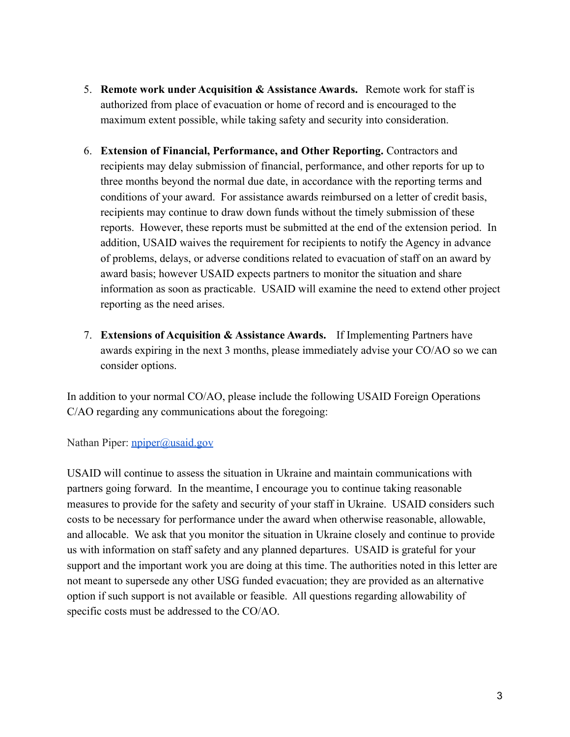- 5. **Remote work under Acquisition & Assistance Awards.** Remote work for staff is authorized from place of evacuation or home of record and is encouraged to the maximum extent possible, while taking safety and security into consideration.
- 6. **Extension of Financial, Performance, and Other Reporting.** Contractors and recipients may delay submission of financial, performance, and other reports for up to three months beyond the normal due date, in accordance with the reporting terms and conditions of your award. For assistance awards reimbursed on a letter of credit basis, recipients may continue to draw down funds without the timely submission of these reports. However, these reports must be submitted at the end of the extension period. In addition, USAID waives the requirement for recipients to notify the Agency in advance of problems, delays, or adverse conditions related to evacuation of staff on an award by award basis; however USAID expects partners to monitor the situation and share information as soon as practicable. USAID will examine the need to extend other project reporting as the need arises.
- 7. **Extensions of Acquisition & Assistance Awards.** If Implementing Partners have awards expiring in the next 3 months, please immediately advise your CO/AO so we can consider options.

In addition to your normal CO/AO, please include the following USAID Foreign Operations C/AO regarding any communications about the foregoing:

Nathan Piper: [npiper@usaid.gov](mailto:npiper@usaid.gov)

USAID will continue to assess the situation in Ukraine and maintain communications with partners going forward. In the meantime, I encourage you to continue taking reasonable measures to provide for the safety and security of your staff in Ukraine. USAID considers such costs to be necessary for performance under the award when otherwise reasonable, allowable, and allocable. We ask that you monitor the situation in Ukraine closely and continue to provide us with information on staff safety and any planned departures. USAID is grateful for your support and the important work you are doing at this time. The authorities noted in this letter are not meant to supersede any other USG funded evacuation; they are provided as an alternative option if such support is not available or feasible. All questions regarding allowability of specific costs must be addressed to the CO/AO.